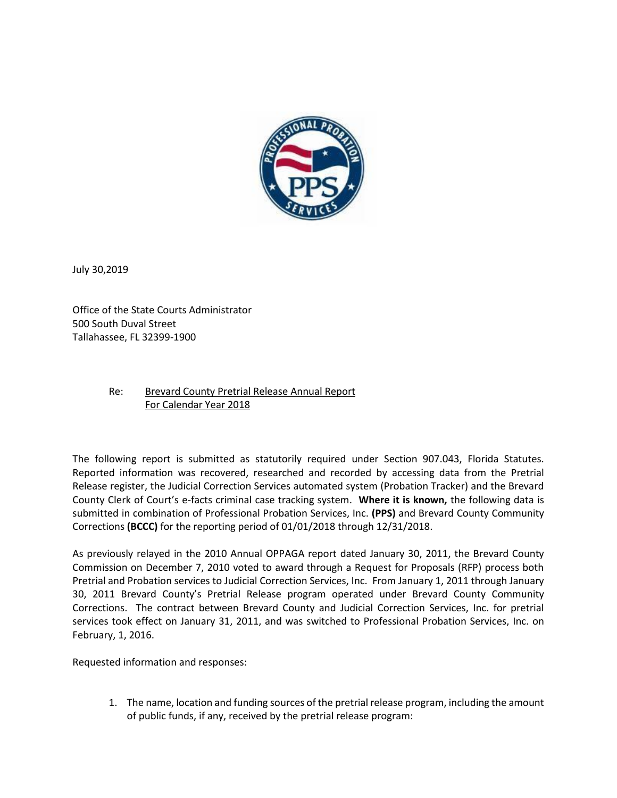

July 30,2019

Office of the State Courts Administrator 500 South Duval Street Tallahassee, FL 32399-1900

## Re: Brevard County Pretrial Release Annual Report For Calendar Year 2018

The following report is submitted as statutorily required under Section 907.043, Florida Statutes. Reported information was recovered, researched and recorded by accessing data from the Pretrial Release register, the Judicial Correction Services automated system (Probation Tracker) and the Brevard County Clerk of Court's e-facts criminal case tracking system. **Where it is known,** the following data is submitted in combination of Professional Probation Services, Inc. **(PPS)** and Brevard County Community Corrections **(BCCC)** for the reporting period of 01/01/2018 through 12/31/2018.

As previously relayed in the 2010 Annual OPPAGA report dated January 30, 2011, the Brevard County Commission on December 7, 2010 voted to award through a Request for Proposals (RFP) process both Pretrial and Probation services to Judicial Correction Services, Inc. From January 1, 2011 through January 30, 2011 Brevard County's Pretrial Release program operated under Brevard County Community Corrections. The contract between Brevard County and Judicial Correction Services, Inc. for pretrial services took effect on January 31, 2011, and was switched to Professional Probation Services, Inc. on February, 1, 2016.

Requested information and responses:

1. The name, location and funding sources of the pretrial release program, including the amount of public funds, if any, received by the pretrial release program: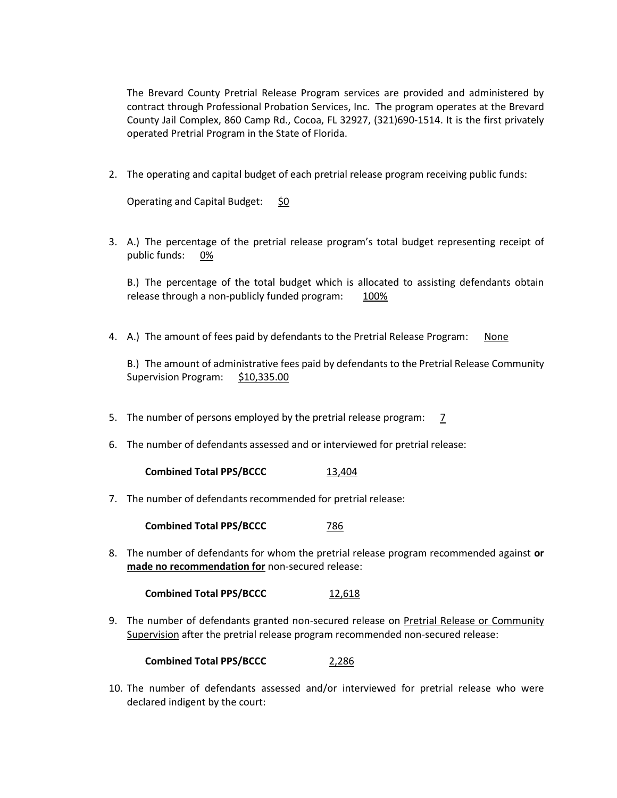The Brevard County Pretrial Release Program services are provided and administered by contract through Professional Probation Services, Inc. The program operates at the Brevard County Jail Complex, 860 Camp Rd., Cocoa, FL 32927, (321)690-1514. It is the first privately operated Pretrial Program in the State of Florida.

2. The operating and capital budget of each pretrial release program receiving public funds:

Operating and Capital Budget: \$0

3. A.) The percentage of the pretrial release program's total budget representing receipt of public funds: 0%

B.) The percentage of the total budget which is allocated to assisting defendants obtain release through a non-publicly funded program: 100%

4. A.) The amount of fees paid by defendants to the Pretrial Release Program: None

B.) The amount of administrative fees paid by defendants to the Pretrial Release Community Supervision Program: \$10,335.00

- 5. The number of persons employed by the pretrial release program: 7
- 6. The number of defendants assessed and or interviewed for pretrial release:

**Combined Total PPS/BCCC** 13,404

7. The number of defendants recommended for pretrial release:

**Combined Total PPS/BCCC** 786

8. The number of defendants for whom the pretrial release program recommended against **or made no recommendation for** non-secured release:

**Combined Total PPS/BCCC** 12,618

9. The number of defendants granted non-secured release on Pretrial Release or Community Supervision after the pretrial release program recommended non-secured release:

**Combined Total PPS/BCCC** 2,286

10. The number of defendants assessed and/or interviewed for pretrial release who were declared indigent by the court: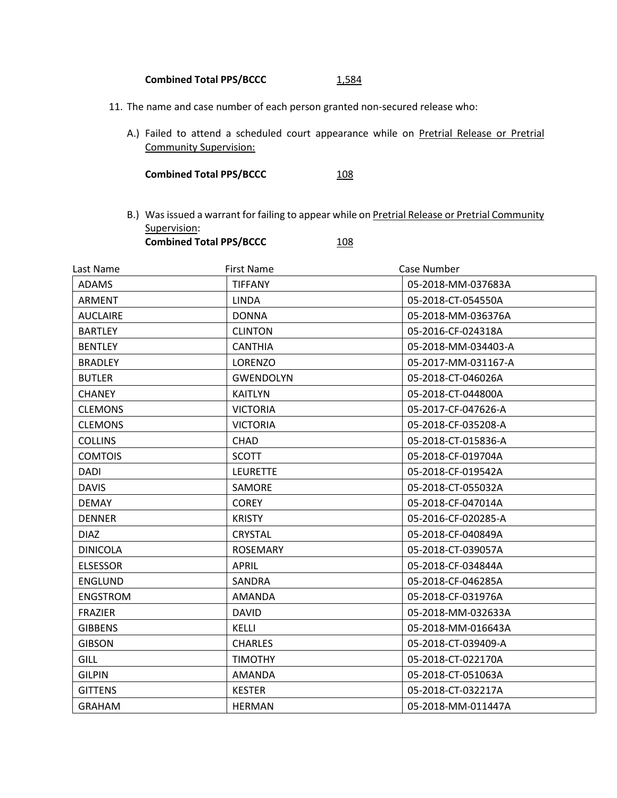## Combined Total PPS/BCCC 1,584

- 11. The name and case number of each person granted non-secured release who:
	- A.) Failed to attend a scheduled court appearance while on Pretrial Release or Pretrial Community Supervision:

**Combined Total PPS/BCCC** 108

B.) Was issued a warrant for failing to appear while on Pretrial Release or Pretrial Community Supervision: **Combined Total PPS/BCCC** 108

| Last Name       | <b>First Name</b> | Case Number         |
|-----------------|-------------------|---------------------|
| <b>ADAMS</b>    | <b>TIFFANY</b>    | 05-2018-MM-037683A  |
| <b>ARMENT</b>   | <b>LINDA</b>      | 05-2018-CT-054550A  |
| <b>AUCLAIRE</b> | <b>DONNA</b>      | 05-2018-MM-036376A  |
| <b>BARTLEY</b>  | <b>CLINTON</b>    | 05-2016-CF-024318A  |
| <b>BENTLEY</b>  | <b>CANTHIA</b>    | 05-2018-MM-034403-A |
| <b>BRADLEY</b>  | LORENZO           | 05-2017-MM-031167-A |
| <b>BUTLER</b>   | <b>GWENDOLYN</b>  | 05-2018-CT-046026A  |
| <b>CHANEY</b>   | <b>KAITLYN</b>    | 05-2018-CT-044800A  |
| <b>CLEMONS</b>  | <b>VICTORIA</b>   | 05-2017-CF-047626-A |
| <b>CLEMONS</b>  | <b>VICTORIA</b>   | 05-2018-CF-035208-A |
| <b>COLLINS</b>  | CHAD              | 05-2018-CT-015836-A |
| <b>COMTOIS</b>  | <b>SCOTT</b>      | 05-2018-CF-019704A  |
| DADI            | <b>LEURETTE</b>   | 05-2018-CF-019542A  |
| <b>DAVIS</b>    | SAMORE            | 05-2018-CT-055032A  |
| <b>DEMAY</b>    | <b>COREY</b>      | 05-2018-CF-047014A  |
| <b>DENNER</b>   | <b>KRISTY</b>     | 05-2016-CF-020285-A |
| <b>DIAZ</b>     | <b>CRYSTAL</b>    | 05-2018-CF-040849A  |
| <b>DINICOLA</b> | ROSEMARY          | 05-2018-CT-039057A  |
| <b>ELSESSOR</b> | <b>APRIL</b>      | 05-2018-CF-034844A  |
| <b>ENGLUND</b>  | SANDRA            | 05-2018-CF-046285A  |
| <b>ENGSTROM</b> | <b>AMANDA</b>     | 05-2018-CF-031976A  |
| <b>FRAZIER</b>  | <b>DAVID</b>      | 05-2018-MM-032633A  |
| <b>GIBBENS</b>  | KELLI             | 05-2018-MM-016643A  |
| <b>GIBSON</b>   | <b>CHARLES</b>    | 05-2018-CT-039409-A |
| <b>GILL</b>     | <b>TIMOTHY</b>    | 05-2018-CT-022170A  |
| <b>GILPIN</b>   | <b>AMANDA</b>     | 05-2018-CT-051063A  |
| <b>GITTENS</b>  | <b>KESTER</b>     | 05-2018-CT-032217A  |
| <b>GRAHAM</b>   | <b>HERMAN</b>     | 05-2018-MM-011447A  |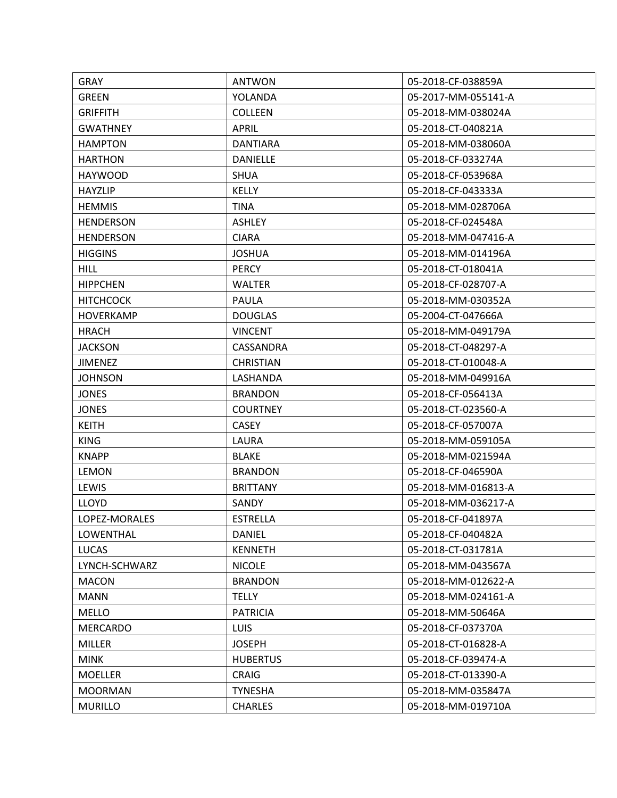| <b>GRAY</b>      | <b>ANTWON</b>    | 05-2018-CF-038859A  |
|------------------|------------------|---------------------|
| <b>GREEN</b>     | YOLANDA          | 05-2017-MM-055141-A |
| <b>GRIFFITH</b>  | <b>COLLEEN</b>   | 05-2018-MM-038024A  |
| <b>GWATHNEY</b>  | <b>APRIL</b>     | 05-2018-CT-040821A  |
| <b>HAMPTON</b>   | <b>DANTIARA</b>  | 05-2018-MM-038060A  |
| <b>HARTHON</b>   | DANIELLE         | 05-2018-CF-033274A  |
| <b>HAYWOOD</b>   | <b>SHUA</b>      | 05-2018-CF-053968A  |
| <b>HAYZLIP</b>   | <b>KELLY</b>     | 05-2018-CF-043333A  |
| <b>HEMMIS</b>    | <b>TINA</b>      | 05-2018-MM-028706A  |
| <b>HENDERSON</b> | <b>ASHLEY</b>    | 05-2018-CF-024548A  |
| <b>HENDERSON</b> | <b>CIARA</b>     | 05-2018-MM-047416-A |
| <b>HIGGINS</b>   | <b>JOSHUA</b>    | 05-2018-MM-014196A  |
| <b>HILL</b>      | <b>PERCY</b>     | 05-2018-CT-018041A  |
| <b>HIPPCHEN</b>  | WALTER           | 05-2018-CF-028707-A |
| <b>HITCHCOCK</b> | PAULA            | 05-2018-MM-030352A  |
| <b>HOVERKAMP</b> | <b>DOUGLAS</b>   | 05-2004-CT-047666A  |
| <b>HRACH</b>     | <b>VINCENT</b>   | 05-2018-MM-049179A  |
| <b>JACKSON</b>   | CASSANDRA        | 05-2018-CT-048297-A |
| <b>JIMENEZ</b>   | <b>CHRISTIAN</b> | 05-2018-CT-010048-A |
| <b>JOHNSON</b>   | LASHANDA         | 05-2018-MM-049916A  |
| <b>JONES</b>     | <b>BRANDON</b>   | 05-2018-CF-056413A  |
| <b>JONES</b>     | <b>COURTNEY</b>  | 05-2018-CT-023560-A |
| <b>KEITH</b>     | <b>CASEY</b>     | 05-2018-CF-057007A  |
| <b>KING</b>      | LAURA            | 05-2018-MM-059105A  |
| <b>KNAPP</b>     | <b>BLAKE</b>     | 05-2018-MM-021594A  |
| <b>LEMON</b>     | <b>BRANDON</b>   | 05-2018-CF-046590A  |
| LEWIS            | <b>BRITTANY</b>  | 05-2018-MM-016813-A |
| <b>LLOYD</b>     | SANDY            | 05-2018-MM-036217-A |
| LOPEZ-MORALES    | <b>ESTRELLA</b>  | 05-2018-CF-041897A  |
| LOWENTHAL        | <b>DANIEL</b>    | 05-2018-CF-040482A  |
| <b>LUCAS</b>     | <b>KENNETH</b>   | 05-2018-CT-031781A  |
| LYNCH-SCHWARZ    | <b>NICOLE</b>    | 05-2018-MM-043567A  |
| <b>MACON</b>     | <b>BRANDON</b>   | 05-2018-MM-012622-A |
| <b>MANN</b>      | <b>TELLY</b>     | 05-2018-MM-024161-A |
| <b>MELLO</b>     | <b>PATRICIA</b>  | 05-2018-MM-50646A   |
| <b>MERCARDO</b>  | <b>LUIS</b>      | 05-2018-CF-037370A  |
| <b>MILLER</b>    | <b>JOSEPH</b>    | 05-2018-CT-016828-A |
| <b>MINK</b>      | <b>HUBERTUS</b>  | 05-2018-CF-039474-A |
| <b>MOELLER</b>   | <b>CRAIG</b>     | 05-2018-CT-013390-A |
| <b>MOORMAN</b>   | <b>TYNESHA</b>   | 05-2018-MM-035847A  |
| <b>MURILLO</b>   | <b>CHARLES</b>   | 05-2018-MM-019710A  |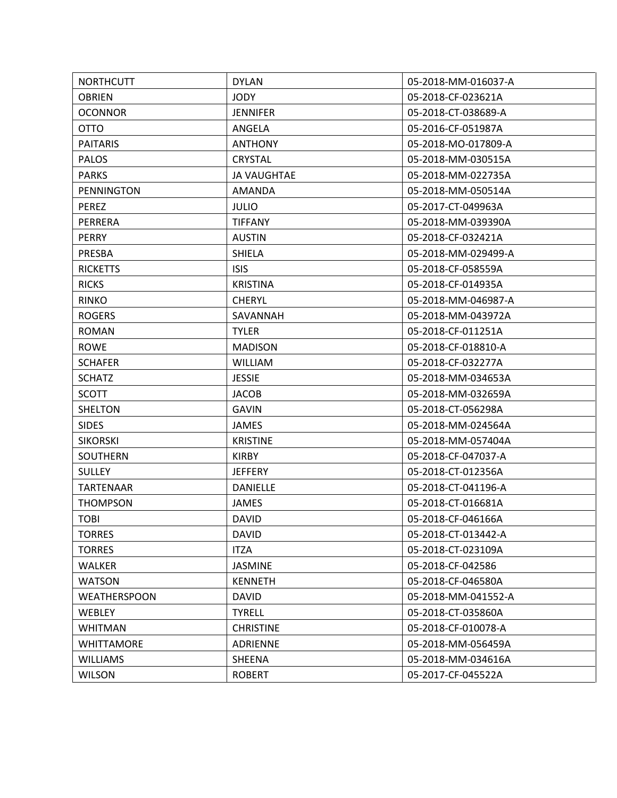| <b>NORTHCUTT</b>    | <b>DYLAN</b>       | 05-2018-MM-016037-A |
|---------------------|--------------------|---------------------|
| <b>OBRIEN</b>       | <b>JODY</b>        | 05-2018-CF-023621A  |
| <b>OCONNOR</b>      | <b>JENNIFER</b>    | 05-2018-CT-038689-A |
| <b>OTTO</b>         | ANGELA             | 05-2016-CF-051987A  |
| <b>PAITARIS</b>     | <b>ANTHONY</b>     | 05-2018-MO-017809-A |
| <b>PALOS</b>        | <b>CRYSTAL</b>     | 05-2018-MM-030515A  |
| <b>PARKS</b>        | <b>JA VAUGHTAE</b> | 05-2018-MM-022735A  |
| PENNINGTON          | <b>AMANDA</b>      | 05-2018-MM-050514A  |
| <b>PEREZ</b>        | <b>JULIO</b>       | 05-2017-CT-049963A  |
| PERRERA             | <b>TIFFANY</b>     | 05-2018-MM-039390A  |
| <b>PERRY</b>        | <b>AUSTIN</b>      | 05-2018-CF-032421A  |
| PRESBA              | SHIELA             | 05-2018-MM-029499-A |
| <b>RICKETTS</b>     | <b>ISIS</b>        | 05-2018-CF-058559A  |
| <b>RICKS</b>        | <b>KRISTINA</b>    | 05-2018-CF-014935A  |
| <b>RINKO</b>        | <b>CHERYL</b>      | 05-2018-MM-046987-A |
| <b>ROGERS</b>       | SAVANNAH           | 05-2018-MM-043972A  |
| <b>ROMAN</b>        | <b>TYLER</b>       | 05-2018-CF-011251A  |
| <b>ROWE</b>         | <b>MADISON</b>     | 05-2018-CF-018810-A |
| <b>SCHAFER</b>      | <b>WILLIAM</b>     | 05-2018-CF-032277A  |
| <b>SCHATZ</b>       | <b>JESSIE</b>      | 05-2018-MM-034653A  |
| SCOTT               | <b>JACOB</b>       | 05-2018-MM-032659A  |
| <b>SHELTON</b>      | <b>GAVIN</b>       | 05-2018-CT-056298A  |
| <b>SIDES</b>        | <b>JAMES</b>       | 05-2018-MM-024564A  |
| <b>SIKORSKI</b>     | <b>KRISTINE</b>    | 05-2018-MM-057404A  |
| <b>SOUTHERN</b>     | <b>KIRBY</b>       | 05-2018-CF-047037-A |
| <b>SULLEY</b>       | <b>JEFFERY</b>     | 05-2018-CT-012356A  |
| <b>TARTENAAR</b>    | <b>DANIELLE</b>    | 05-2018-CT-041196-A |
| <b>THOMPSON</b>     | <b>JAMES</b>       | 05-2018-CT-016681A  |
| <b>TOBI</b>         | <b>DAVID</b>       | 05-2018-CF-046166A  |
| <b>TORRES</b>       | <b>DAVID</b>       | 05-2018-CT-013442-A |
| <b>TORRES</b>       | <b>ITZA</b>        | 05-2018-CT-023109A  |
| <b>WALKER</b>       | <b>JASMINE</b>     | 05-2018-CF-042586   |
| <b>WATSON</b>       | <b>KENNETH</b>     | 05-2018-CF-046580A  |
| <b>WEATHERSPOON</b> | <b>DAVID</b>       | 05-2018-MM-041552-A |
| WEBLEY              | <b>TYRELL</b>      | 05-2018-CT-035860A  |
| <b>WHITMAN</b>      | <b>CHRISTINE</b>   | 05-2018-CF-010078-A |
| <b>WHITTAMORE</b>   | ADRIENNE           | 05-2018-MM-056459A  |
| <b>WILLIAMS</b>     | SHEENA             | 05-2018-MM-034616A  |
| <b>WILSON</b>       | <b>ROBERT</b>      | 05-2017-CF-045522A  |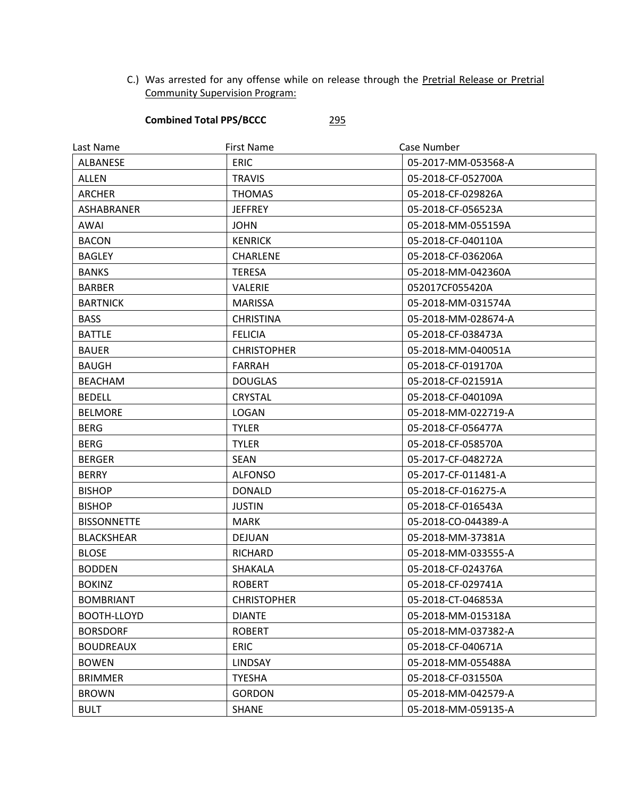C.) Was arrested for any offense while on release through the Pretrial Release or Pretrial Community Supervision Program:

## **Combined Total PPS/BCCC** 295

| Last Name          | <b>First Name</b>  | Case Number         |
|--------------------|--------------------|---------------------|
| ALBANESE           | <b>ERIC</b>        | 05-2017-MM-053568-A |
| ALLEN              | <b>TRAVIS</b>      | 05-2018-CF-052700A  |
| <b>ARCHER</b>      | <b>THOMAS</b>      | 05-2018-CF-029826A  |
| ASHABRANER         | <b>JEFFREY</b>     | 05-2018-CF-056523A  |
| <b>AWAI</b>        | <b>JOHN</b>        | 05-2018-MM-055159A  |
| <b>BACON</b>       | <b>KENRICK</b>     | 05-2018-CF-040110A  |
| <b>BAGLEY</b>      | CHARLENE           | 05-2018-CF-036206A  |
| <b>BANKS</b>       | <b>TERESA</b>      | 05-2018-MM-042360A  |
| <b>BARBER</b>      | <b>VALERIE</b>     | 052017CF055420A     |
| <b>BARTNICK</b>    | <b>MARISSA</b>     | 05-2018-MM-031574A  |
| <b>BASS</b>        | <b>CHRISTINA</b>   | 05-2018-MM-028674-A |
| <b>BATTLE</b>      | <b>FELICIA</b>     | 05-2018-CF-038473A  |
| <b>BAUER</b>       | <b>CHRISTOPHER</b> | 05-2018-MM-040051A  |
| <b>BAUGH</b>       | <b>FARRAH</b>      | 05-2018-CF-019170A  |
| <b>BEACHAM</b>     | <b>DOUGLAS</b>     | 05-2018-CF-021591A  |
| <b>BEDELL</b>      | <b>CRYSTAL</b>     | 05-2018-CF-040109A  |
| <b>BELMORE</b>     | LOGAN              | 05-2018-MM-022719-A |
| <b>BERG</b>        | <b>TYLER</b>       | 05-2018-CF-056477A  |
| <b>BERG</b>        | <b>TYLER</b>       | 05-2018-CF-058570A  |
| <b>BERGER</b>      | <b>SEAN</b>        | 05-2017-CF-048272A  |
| <b>BERRY</b>       | <b>ALFONSO</b>     | 05-2017-CF-011481-A |
| <b>BISHOP</b>      | <b>DONALD</b>      | 05-2018-CF-016275-A |
| <b>BISHOP</b>      | <b>JUSTIN</b>      | 05-2018-CF-016543A  |
| <b>BISSONNETTE</b> | <b>MARK</b>        | 05-2018-CO-044389-A |
| <b>BLACKSHEAR</b>  | DEJUAN             | 05-2018-MM-37381A   |
| <b>BLOSE</b>       | <b>RICHARD</b>     | 05-2018-MM-033555-A |
| <b>BODDEN</b>      | SHAKALA            | 05-2018-CF-024376A  |
| <b>BOKINZ</b>      | <b>ROBERT</b>      | 05-2018-CF-029741A  |
| <b>BOMBRIANT</b>   | <b>CHRISTOPHER</b> | 05-2018-CT-046853A  |
| BOOTH-LLOYD        | <b>DIANTE</b>      | 05-2018-MM-015318A  |
| <b>BORSDORF</b>    | <b>ROBERT</b>      | 05-2018-MM-037382-A |
| <b>BOUDREAUX</b>   | <b>ERIC</b>        | 05-2018-CF-040671A  |
| <b>BOWEN</b>       | LINDSAY            | 05-2018-MM-055488A  |
| <b>BRIMMER</b>     | <b>TYESHA</b>      | 05-2018-CF-031550A  |
| <b>BROWN</b>       | <b>GORDON</b>      | 05-2018-MM-042579-A |
| <b>BULT</b>        | <b>SHANE</b>       | 05-2018-MM-059135-A |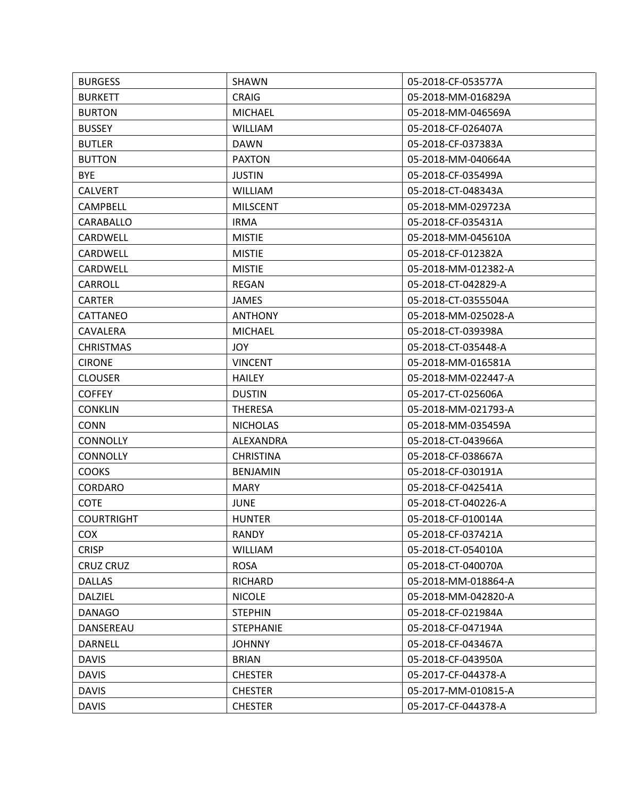| <b>BURGESS</b>    | SHAWN            | 05-2018-CF-053577A  |
|-------------------|------------------|---------------------|
| <b>BURKETT</b>    | <b>CRAIG</b>     | 05-2018-MM-016829A  |
| <b>BURTON</b>     | <b>MICHAEL</b>   | 05-2018-MM-046569A  |
| <b>BUSSEY</b>     | <b>WILLIAM</b>   | 05-2018-CF-026407A  |
| <b>BUTLER</b>     | <b>DAWN</b>      | 05-2018-CF-037383A  |
| <b>BUTTON</b>     | <b>PAXTON</b>    | 05-2018-MM-040664A  |
| <b>BYE</b>        | <b>JUSTIN</b>    | 05-2018-CF-035499A  |
| <b>CALVERT</b>    | <b>WILLIAM</b>   | 05-2018-CT-048343A  |
| CAMPBELL          | <b>MILSCENT</b>  | 05-2018-MM-029723A  |
| CARABALLO         | <b>IRMA</b>      | 05-2018-CF-035431A  |
| CARDWELL          | <b>MISTIE</b>    | 05-2018-MM-045610A  |
| CARDWELL          | <b>MISTIE</b>    | 05-2018-CF-012382A  |
| CARDWELL          | <b>MISTIE</b>    | 05-2018-MM-012382-A |
| CARROLL           | <b>REGAN</b>     | 05-2018-CT-042829-A |
| <b>CARTER</b>     | <b>JAMES</b>     | 05-2018-CT-0355504A |
| CATTANEO          | <b>ANTHONY</b>   | 05-2018-MM-025028-A |
| CAVALERA          | <b>MICHAEL</b>   | 05-2018-CT-039398A  |
| <b>CHRISTMAS</b>  | <b>JOY</b>       | 05-2018-CT-035448-A |
| <b>CIRONE</b>     | <b>VINCENT</b>   | 05-2018-MM-016581A  |
| <b>CLOUSER</b>    | <b>HAILEY</b>    | 05-2018-MM-022447-A |
| <b>COFFEY</b>     | <b>DUSTIN</b>    | 05-2017-CT-025606A  |
| <b>CONKLIN</b>    | <b>THERESA</b>   | 05-2018-MM-021793-A |
| <b>CONN</b>       | <b>NICHOLAS</b>  | 05-2018-MM-035459A  |
| <b>CONNOLLY</b>   | ALEXANDRA        | 05-2018-CT-043966A  |
| <b>CONNOLLY</b>   | <b>CHRISTINA</b> | 05-2018-CF-038667A  |
| <b>COOKS</b>      | <b>BENJAMIN</b>  | 05-2018-CF-030191A  |
| CORDARO           | <b>MARY</b>      | 05-2018-CF-042541A  |
| <b>COTE</b>       | <b>JUNE</b>      | 05-2018-CT-040226-A |
| <b>COURTRIGHT</b> | <b>HUNTER</b>    | 05-2018-CF-010014A  |
| <b>COX</b>        | <b>RANDY</b>     | 05-2018-CF-037421A  |
| <b>CRISP</b>      | <b>WILLIAM</b>   | 05-2018-CT-054010A  |
| <b>CRUZ CRUZ</b>  | <b>ROSA</b>      | 05-2018-CT-040070A  |
| <b>DALLAS</b>     | RICHARD          | 05-2018-MM-018864-A |
| DALZIEL           | <b>NICOLE</b>    | 05-2018-MM-042820-A |
| <b>DANAGO</b>     | <b>STEPHIN</b>   | 05-2018-CF-021984A  |
| DANSEREAU         | <b>STEPHANIE</b> | 05-2018-CF-047194A  |
| <b>DARNELL</b>    | <b>JOHNNY</b>    | 05-2018-CF-043467A  |
| <b>DAVIS</b>      | <b>BRIAN</b>     | 05-2018-CF-043950A  |
| <b>DAVIS</b>      | <b>CHESTER</b>   | 05-2017-CF-044378-A |
| <b>DAVIS</b>      | <b>CHESTER</b>   | 05-2017-MM-010815-A |
| <b>DAVIS</b>      | <b>CHESTER</b>   | 05-2017-CF-044378-A |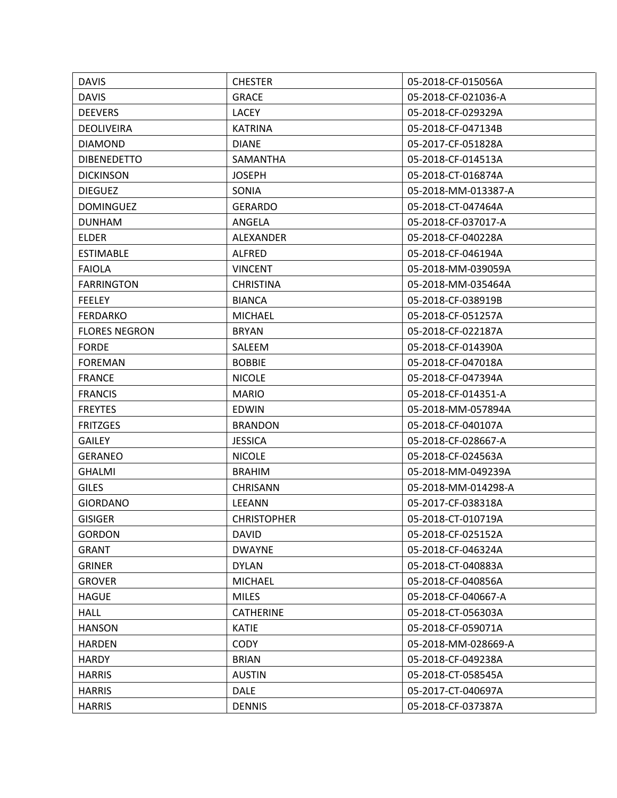| <b>DAVIS</b>         | <b>CHESTER</b>     | 05-2018-CF-015056A  |
|----------------------|--------------------|---------------------|
| <b>DAVIS</b>         | <b>GRACE</b>       | 05-2018-CF-021036-A |
| <b>DEEVERS</b>       | LACEY              | 05-2018-CF-029329A  |
| <b>DEOLIVEIRA</b>    | <b>KATRINA</b>     | 05-2018-CF-047134B  |
| <b>DIAMOND</b>       | <b>DIANE</b>       | 05-2017-CF-051828A  |
| <b>DIBENEDETTO</b>   | SAMANTHA           | 05-2018-CF-014513A  |
| <b>DICKINSON</b>     | <b>JOSEPH</b>      | 05-2018-CT-016874A  |
| <b>DIEGUEZ</b>       | SONIA              | 05-2018-MM-013387-A |
| <b>DOMINGUEZ</b>     | <b>GERARDO</b>     | 05-2018-CT-047464A  |
| <b>DUNHAM</b>        | ANGELA             | 05-2018-CF-037017-A |
| <b>ELDER</b>         | ALEXANDER          | 05-2018-CF-040228A  |
| <b>ESTIMABLE</b>     | <b>ALFRED</b>      | 05-2018-CF-046194A  |
| <b>FAIOLA</b>        | <b>VINCENT</b>     | 05-2018-MM-039059A  |
| <b>FARRINGTON</b>    | <b>CHRISTINA</b>   | 05-2018-MM-035464A  |
| <b>FEELEY</b>        | <b>BIANCA</b>      | 05-2018-CF-038919B  |
| <b>FERDARKO</b>      | <b>MICHAEL</b>     | 05-2018-CF-051257A  |
| <b>FLORES NEGRON</b> | <b>BRYAN</b>       | 05-2018-CF-022187A  |
| <b>FORDE</b>         | SALEEM             | 05-2018-CF-014390A  |
| <b>FOREMAN</b>       | <b>BOBBIE</b>      | 05-2018-CF-047018A  |
| <b>FRANCE</b>        | <b>NICOLE</b>      | 05-2018-CF-047394A  |
| <b>FRANCIS</b>       | <b>MARIO</b>       | 05-2018-CF-014351-A |
| <b>FREYTES</b>       | <b>EDWIN</b>       | 05-2018-MM-057894A  |
| <b>FRITZGES</b>      | <b>BRANDON</b>     | 05-2018-CF-040107A  |
| <b>GAILEY</b>        | <b>JESSICA</b>     | 05-2018-CF-028667-A |
| <b>GERANEO</b>       | <b>NICOLE</b>      | 05-2018-CF-024563A  |
| <b>GHALMI</b>        | <b>BRAHIM</b>      | 05-2018-MM-049239A  |
| <b>GILES</b>         | <b>CHRISANN</b>    | 05-2018-MM-014298-A |
| <b>GIORDANO</b>      | LEEANN             | 05-2017-CF-038318A  |
| <b>GISIGER</b>       | <b>CHRISTOPHER</b> | 05-2018-CT-010719A  |
| <b>GORDON</b>        | <b>DAVID</b>       | 05-2018-CF-025152A  |
| <b>GRANT</b>         | <b>DWAYNE</b>      | 05-2018-CF-046324A  |
| <b>GRINER</b>        | <b>DYLAN</b>       | 05-2018-CT-040883A  |
| <b>GROVER</b>        | <b>MICHAEL</b>     | 05-2018-CF-040856A  |
| <b>HAGUE</b>         | <b>MILES</b>       | 05-2018-CF-040667-A |
| <b>HALL</b>          | <b>CATHERINE</b>   | 05-2018-CT-056303A  |
| <b>HANSON</b>        | <b>KATIE</b>       | 05-2018-CF-059071A  |
| <b>HARDEN</b>        | <b>CODY</b>        | 05-2018-MM-028669-A |
| <b>HARDY</b>         | <b>BRIAN</b>       | 05-2018-CF-049238A  |
| <b>HARRIS</b>        | <b>AUSTIN</b>      | 05-2018-CT-058545A  |
| <b>HARRIS</b>        | <b>DALE</b>        | 05-2017-CT-040697A  |
| <b>HARRIS</b>        | <b>DENNIS</b>      | 05-2018-CF-037387A  |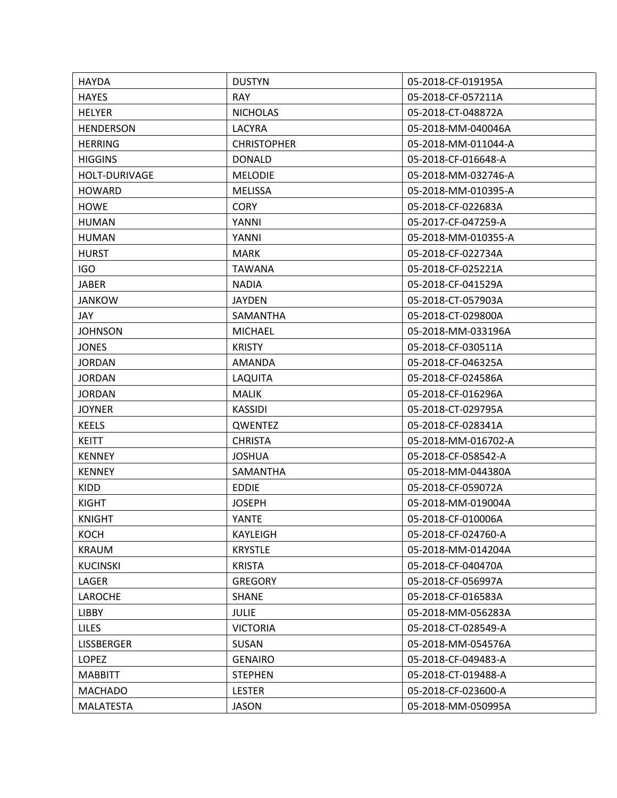| <b>HAYDA</b>         | <b>DUSTYN</b>      | 05-2018-CF-019195A  |
|----------------------|--------------------|---------------------|
| <b>HAYES</b>         | <b>RAY</b>         | 05-2018-CF-057211A  |
| <b>HELYER</b>        | <b>NICHOLAS</b>    | 05-2018-CT-048872A  |
| <b>HENDERSON</b>     | LACYRA             | 05-2018-MM-040046A  |
| <b>HERRING</b>       | <b>CHRISTOPHER</b> | 05-2018-MM-011044-A |
| <b>HIGGINS</b>       | <b>DONALD</b>      | 05-2018-CF-016648-A |
| <b>HOLT-DURIVAGE</b> | <b>MELODIE</b>     | 05-2018-MM-032746-A |
| <b>HOWARD</b>        | <b>MELISSA</b>     | 05-2018-MM-010395-A |
| <b>HOWE</b>          | <b>CORY</b>        | 05-2018-CF-022683A  |
| <b>HUMAN</b>         | YANNI              | 05-2017-CF-047259-A |
| <b>HUMAN</b>         | YANNI              | 05-2018-MM-010355-A |
| <b>HURST</b>         | <b>MARK</b>        | 05-2018-CF-022734A  |
| <b>IGO</b>           | <b>TAWANA</b>      | 05-2018-CF-025221A  |
| <b>JABER</b>         | <b>NADIA</b>       | 05-2018-CF-041529A  |
| <b>JANKOW</b>        | <b>JAYDEN</b>      | 05-2018-CT-057903A  |
| JAY.                 | SAMANTHA           | 05-2018-CT-029800A  |
| <b>JOHNSON</b>       | <b>MICHAEL</b>     | 05-2018-MM-033196A  |
| <b>JONES</b>         | <b>KRISTY</b>      | 05-2018-CF-030511A  |
| <b>JORDAN</b>        | AMANDA             | 05-2018-CF-046325A  |
| <b>JORDAN</b>        | LAQUITA            | 05-2018-CF-024586A  |
| <b>JORDAN</b>        | <b>MALIK</b>       | 05-2018-CF-016296A  |
| <b>JOYNER</b>        | <b>KASSIDI</b>     | 05-2018-CT-029795A  |
| <b>KEELS</b>         | QWENTEZ            | 05-2018-CF-028341A  |
| <b>KEITT</b>         | <b>CHRISTA</b>     | 05-2018-MM-016702-A |
| <b>KENNEY</b>        | <b>JOSHUA</b>      | 05-2018-CF-058542-A |
| <b>KENNEY</b>        | SAMANTHA           | 05-2018-MM-044380A  |
| <b>KIDD</b>          | <b>EDDIE</b>       | 05-2018-CF-059072A  |
| <b>KIGHT</b>         | <b>JOSEPH</b>      | 05-2018-MM-019004A  |
| <b>KNIGHT</b>        | <b>YANTE</b>       | 05-2018-CF-010006A  |
| <b>KOCH</b>          | KAYLEIGH           | 05-2018-CF-024760-A |
| <b>KRAUM</b>         | <b>KRYSTLE</b>     | 05-2018-MM-014204A  |
| <b>KUCINSKI</b>      | <b>KRISTA</b>      | 05-2018-CF-040470A  |
| LAGER                | <b>GREGORY</b>     | 05-2018-CF-056997A  |
| <b>LAROCHE</b>       | <b>SHANE</b>       | 05-2018-CF-016583A  |
| <b>LIBBY</b>         | <b>JULIE</b>       | 05-2018-MM-056283A  |
| <b>LILES</b>         | <b>VICTORIA</b>    | 05-2018-CT-028549-A |
| <b>LISSBERGER</b>    | SUSAN              | 05-2018-MM-054576A  |
| LOPEZ                | <b>GENAIRO</b>     | 05-2018-CF-049483-A |
| <b>MABBITT</b>       | <b>STEPHEN</b>     | 05-2018-CT-019488-A |
| <b>MACHADO</b>       | <b>LESTER</b>      | 05-2018-CF-023600-A |
| <b>MALATESTA</b>     | <b>JASON</b>       | 05-2018-MM-050995A  |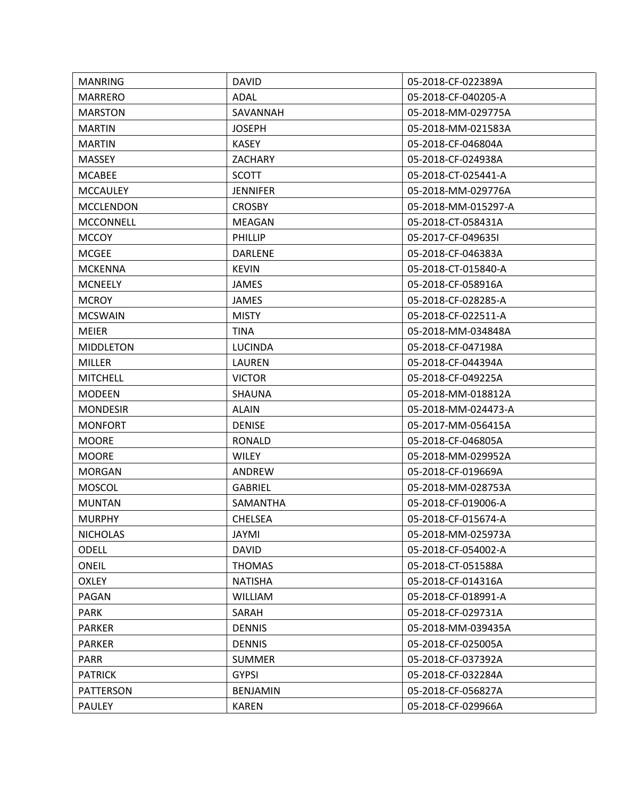| <b>MANRING</b>   | <b>DAVID</b>    | 05-2018-CF-022389A  |
|------------------|-----------------|---------------------|
| <b>MARRERO</b>   | ADAL            | 05-2018-CF-040205-A |
| <b>MARSTON</b>   | SAVANNAH        | 05-2018-MM-029775A  |
| <b>MARTIN</b>    | <b>JOSEPH</b>   | 05-2018-MM-021583A  |
| <b>MARTIN</b>    | <b>KASEY</b>    | 05-2018-CF-046804A  |
| <b>MASSEY</b>    | <b>ZACHARY</b>  | 05-2018-CF-024938A  |
| <b>MCABEE</b>    | <b>SCOTT</b>    | 05-2018-CT-025441-A |
| <b>MCCAULEY</b>  | <b>JENNIFER</b> | 05-2018-MM-029776A  |
| <b>MCCLENDON</b> | <b>CROSBY</b>   | 05-2018-MM-015297-A |
| <b>MCCONNELL</b> | <b>MEAGAN</b>   | 05-2018-CT-058431A  |
| <b>MCCOY</b>     | <b>PHILLIP</b>  | 05-2017-CF-049635I  |
| <b>MCGEE</b>     | <b>DARLENE</b>  | 05-2018-CF-046383A  |
| <b>MCKENNA</b>   | <b>KEVIN</b>    | 05-2018-CT-015840-A |
| <b>MCNEELY</b>   | <b>JAMES</b>    | 05-2018-CF-058916A  |
| <b>MCROY</b>     | <b>JAMES</b>    | 05-2018-CF-028285-A |
| <b>MCSWAIN</b>   | <b>MISTY</b>    | 05-2018-CF-022511-A |
| <b>MEIER</b>     | <b>TINA</b>     | 05-2018-MM-034848A  |
| <b>MIDDLETON</b> | <b>LUCINDA</b>  | 05-2018-CF-047198A  |
| <b>MILLER</b>    | LAUREN          | 05-2018-CF-044394A  |
| <b>MITCHELL</b>  | <b>VICTOR</b>   | 05-2018-CF-049225A  |
| <b>MODEEN</b>    | <b>SHAUNA</b>   | 05-2018-MM-018812A  |
| <b>MONDESIR</b>  | <b>ALAIN</b>    | 05-2018-MM-024473-A |
| <b>MONFORT</b>   | <b>DENISE</b>   | 05-2017-MM-056415A  |
| <b>MOORE</b>     | <b>RONALD</b>   | 05-2018-CF-046805A  |
| <b>MOORE</b>     | WILEY           | 05-2018-MM-029952A  |
| <b>MORGAN</b>    | ANDREW          | 05-2018-CF-019669A  |
| <b>MOSCOL</b>    | <b>GABRIEL</b>  | 05-2018-MM-028753A  |
| <b>MUNTAN</b>    | SAMANTHA        | 05-2018-CF-019006-A |
| <b>MURPHY</b>    | <b>CHELSEA</b>  | 05-2018-CF-015674-A |
| <b>NICHOLAS</b>  | <b>JAYMI</b>    | 05-2018-MM-025973A  |
| <b>ODELL</b>     | <b>DAVID</b>    | 05-2018-CF-054002-A |
| <b>ONEIL</b>     | <b>THOMAS</b>   | 05-2018-CT-051588A  |
| <b>OXLEY</b>     | <b>NATISHA</b>  | 05-2018-CF-014316A  |
| PAGAN            | <b>WILLIAM</b>  | 05-2018-CF-018991-A |
| <b>PARK</b>      | SARAH           | 05-2018-CF-029731A  |
| <b>PARKER</b>    | <b>DENNIS</b>   | 05-2018-MM-039435A  |
| <b>PARKER</b>    | <b>DENNIS</b>   | 05-2018-CF-025005A  |
| <b>PARR</b>      | <b>SUMMER</b>   | 05-2018-CF-037392A  |
| <b>PATRICK</b>   | <b>GYPSI</b>    | 05-2018-CF-032284A  |
| <b>PATTERSON</b> | <b>BENJAMIN</b> | 05-2018-CF-056827A  |
| PAULEY           | <b>KAREN</b>    | 05-2018-CF-029966A  |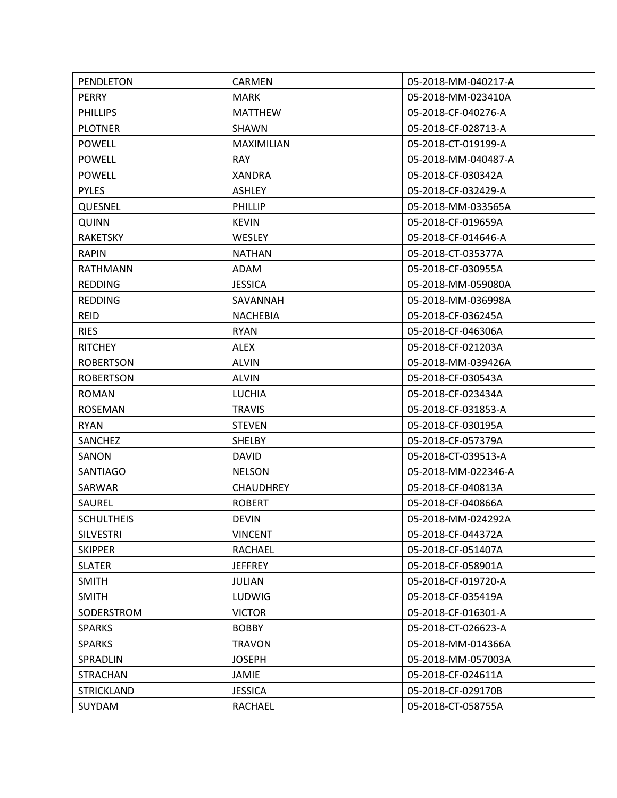| PENDLETON         | CARMEN            | 05-2018-MM-040217-A |
|-------------------|-------------------|---------------------|
| <b>PERRY</b>      | <b>MARK</b>       | 05-2018-MM-023410A  |
| <b>PHILLIPS</b>   | <b>MATTHEW</b>    | 05-2018-CF-040276-A |
| <b>PLOTNER</b>    | SHAWN             | 05-2018-CF-028713-A |
| <b>POWELL</b>     | <b>MAXIMILIAN</b> | 05-2018-CT-019199-A |
| <b>POWELL</b>     | <b>RAY</b>        | 05-2018-MM-040487-A |
| <b>POWELL</b>     | <b>XANDRA</b>     | 05-2018-CF-030342A  |
| <b>PYLES</b>      | <b>ASHLEY</b>     | 05-2018-CF-032429-A |
| QUESNEL           | PHILLIP           | 05-2018-MM-033565A  |
| <b>QUINN</b>      | <b>KEVIN</b>      | 05-2018-CF-019659A  |
| <b>RAKETSKY</b>   | <b>WESLEY</b>     | 05-2018-CF-014646-A |
| <b>RAPIN</b>      | <b>NATHAN</b>     | 05-2018-CT-035377A  |
| <b>RATHMANN</b>   | ADAM              | 05-2018-CF-030955A  |
| <b>REDDING</b>    | <b>JESSICA</b>    | 05-2018-MM-059080A  |
| <b>REDDING</b>    | SAVANNAH          | 05-2018-MM-036998A  |
| <b>REID</b>       | <b>NACHEBIA</b>   | 05-2018-CF-036245A  |
| <b>RIES</b>       | <b>RYAN</b>       | 05-2018-CF-046306A  |
| <b>RITCHEY</b>    | <b>ALEX</b>       | 05-2018-CF-021203A  |
| <b>ROBERTSON</b>  | <b>ALVIN</b>      | 05-2018-MM-039426A  |
| <b>ROBERTSON</b>  | <b>ALVIN</b>      | 05-2018-CF-030543A  |
| <b>ROMAN</b>      | <b>LUCHIA</b>     | 05-2018-CF-023434A  |
| <b>ROSEMAN</b>    | <b>TRAVIS</b>     | 05-2018-CF-031853-A |
| <b>RYAN</b>       | <b>STEVEN</b>     | 05-2018-CF-030195A  |
| SANCHEZ           | <b>SHELBY</b>     | 05-2018-CF-057379A  |
| SANON             | <b>DAVID</b>      | 05-2018-CT-039513-A |
| <b>SANTIAGO</b>   | <b>NELSON</b>     | 05-2018-MM-022346-A |
| SARWAR            | <b>CHAUDHREY</b>  | 05-2018-CF-040813A  |
| SAUREL            | <b>ROBERT</b>     | 05-2018-CF-040866A  |
| <b>SCHULTHEIS</b> | <b>DEVIN</b>      | 05-2018-MM-024292A  |
| <b>SILVESTRI</b>  | <b>VINCENT</b>    | 05-2018-CF-044372A  |
| <b>SKIPPER</b>    | RACHAEL           | 05-2018-CF-051407A  |
| <b>SLATER</b>     | <b>JEFFREY</b>    | 05-2018-CF-058901A  |
| <b>SMITH</b>      | JULIAN            | 05-2018-CF-019720-A |
| <b>SMITH</b>      | LUDWIG            | 05-2018-CF-035419A  |
| SODERSTROM        | <b>VICTOR</b>     | 05-2018-CF-016301-A |
| <b>SPARKS</b>     | <b>BOBBY</b>      | 05-2018-CT-026623-A |
| <b>SPARKS</b>     | <b>TRAVON</b>     | 05-2018-MM-014366A  |
| SPRADLIN          | <b>JOSEPH</b>     | 05-2018-MM-057003A  |
| <b>STRACHAN</b>   | <b>JAMIE</b>      | 05-2018-CF-024611A  |
| <b>STRICKLAND</b> | <b>JESSICA</b>    | 05-2018-CF-029170B  |
| SUYDAM            | RACHAEL           | 05-2018-CT-058755A  |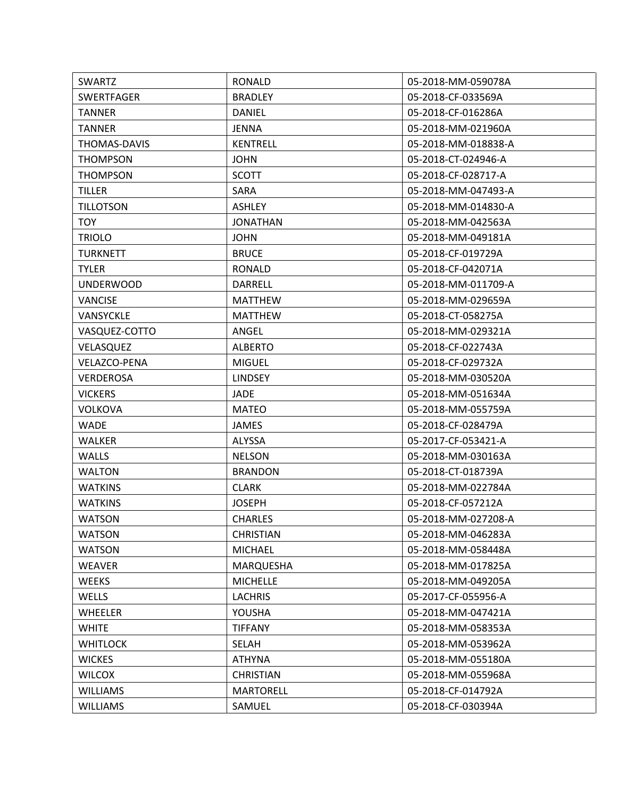| <b>SWARTZ</b>       | <b>RONALD</b>    | 05-2018-MM-059078A  |
|---------------------|------------------|---------------------|
| <b>SWERTFAGER</b>   | <b>BRADLEY</b>   | 05-2018-CF-033569A  |
| <b>TANNER</b>       | <b>DANIEL</b>    | 05-2018-CF-016286A  |
| <b>TANNER</b>       | JENNA            | 05-2018-MM-021960A  |
| THOMAS-DAVIS        | <b>KENTRELL</b>  | 05-2018-MM-018838-A |
| <b>THOMPSON</b>     | <b>JOHN</b>      | 05-2018-CT-024946-A |
| <b>THOMPSON</b>     | <b>SCOTT</b>     | 05-2018-CF-028717-A |
| <b>TILLER</b>       | SARA             | 05-2018-MM-047493-A |
| <b>TILLOTSON</b>    | <b>ASHLEY</b>    | 05-2018-MM-014830-A |
| <b>TOY</b>          | <b>JONATHAN</b>  | 05-2018-MM-042563A  |
| <b>TRIOLO</b>       | <b>JOHN</b>      | 05-2018-MM-049181A  |
| <b>TURKNETT</b>     | <b>BRUCE</b>     | 05-2018-CF-019729A  |
| <b>TYLER</b>        | RONALD           | 05-2018-CF-042071A  |
| <b>UNDERWOOD</b>    | DARRELL          | 05-2018-MM-011709-A |
| <b>VANCISE</b>      | <b>MATTHEW</b>   | 05-2018-MM-029659A  |
| VANSYCKLE           | <b>MATTHEW</b>   | 05-2018-CT-058275A  |
| VASQUEZ-COTTO       | ANGEL            | 05-2018-MM-029321A  |
| VELASQUEZ           | <b>ALBERTO</b>   | 05-2018-CF-022743A  |
| <b>VELAZCO-PENA</b> | <b>MIGUEL</b>    | 05-2018-CF-029732A  |
| <b>VERDEROSA</b>    | <b>LINDSEY</b>   | 05-2018-MM-030520A  |
| <b>VICKERS</b>      | JADE             | 05-2018-MM-051634A  |
| <b>VOLKOVA</b>      | <b>MATEO</b>     | 05-2018-MM-055759A  |
| <b>WADE</b>         | JAMES            | 05-2018-CF-028479A  |
| <b>WALKER</b>       | ALYSSA           | 05-2017-CF-053421-A |
| <b>WALLS</b>        | <b>NELSON</b>    | 05-2018-MM-030163A  |
| <b>WALTON</b>       | <b>BRANDON</b>   | 05-2018-CT-018739A  |
| <b>WATKINS</b>      | <b>CLARK</b>     | 05-2018-MM-022784A  |
| <b>WATKINS</b>      | <b>JOSEPH</b>    | 05-2018-CF-057212A  |
| <b>WATSON</b>       | <b>CHARLES</b>   | 05-2018-MM-027208-A |
| <b>WATSON</b>       | <b>CHRISTIAN</b> | 05-2018-MM-046283A  |
| <b>WATSON</b>       | <b>MICHAEL</b>   | 05-2018-MM-058448A  |
| <b>WEAVER</b>       | MARQUESHA        | 05-2018-MM-017825A  |
| <b>WEEKS</b>        | <b>MICHELLE</b>  | 05-2018-MM-049205A  |
| WELLS               | <b>LACHRIS</b>   | 05-2017-CF-055956-A |
| <b>WHEELER</b>      | YOUSHA           | 05-2018-MM-047421A  |
| <b>WHITE</b>        | <b>TIFFANY</b>   | 05-2018-MM-058353A  |
| <b>WHITLOCK</b>     | <b>SELAH</b>     | 05-2018-MM-053962A  |
| <b>WICKES</b>       | <b>ATHYNA</b>    | 05-2018-MM-055180A  |
| <b>WILCOX</b>       | <b>CHRISTIAN</b> | 05-2018-MM-055968A  |
| <b>WILLIAMS</b>     | <b>MARTORELL</b> | 05-2018-CF-014792A  |
| <b>WILLIAMS</b>     | SAMUEL           | 05-2018-CF-030394A  |